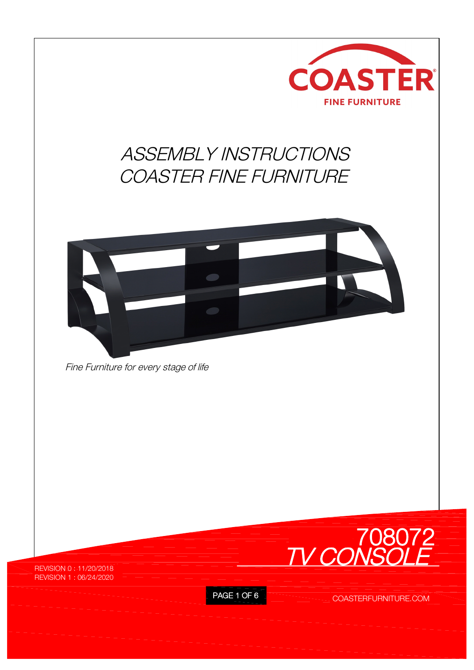

PAGE 1 OF 6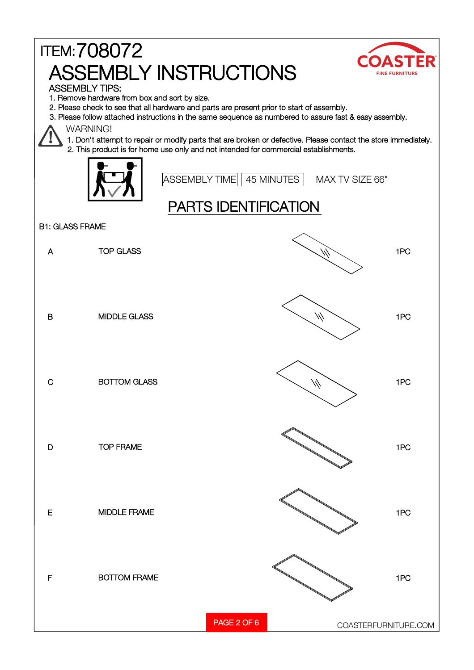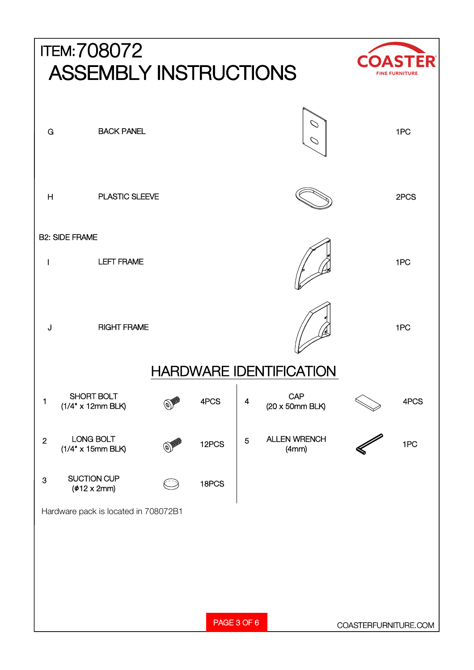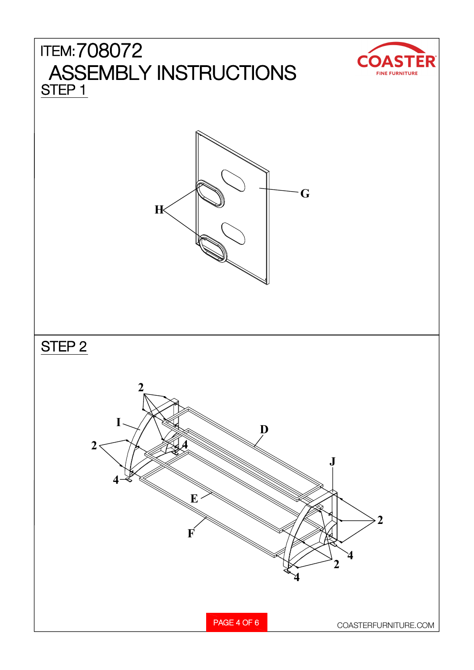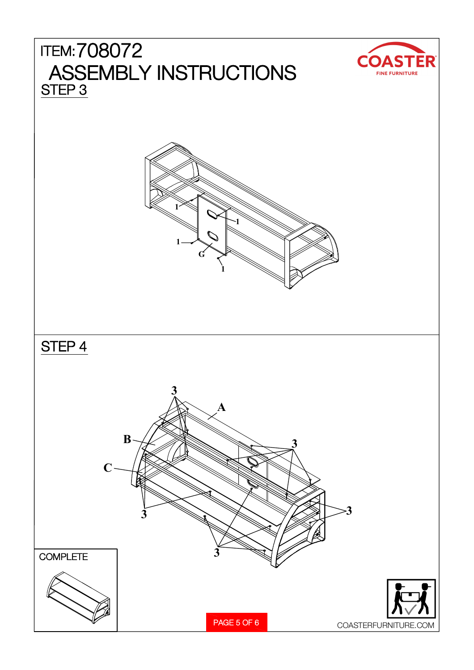